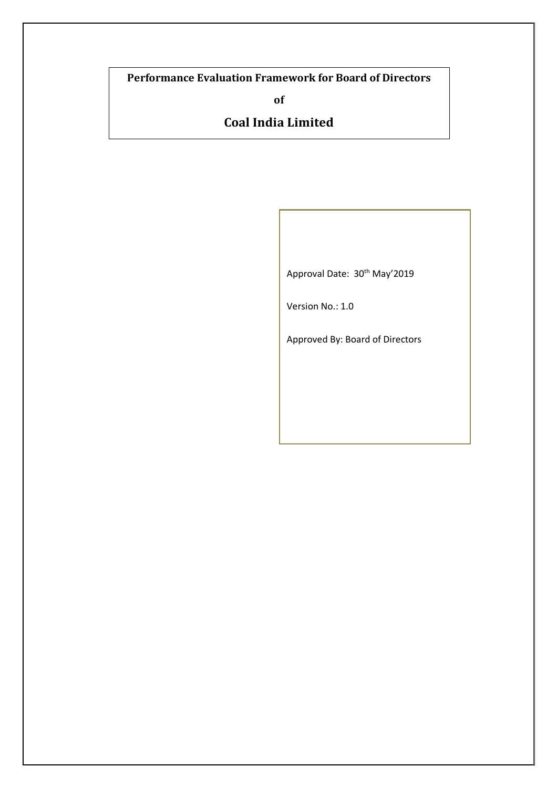# **Performance Evaluation Framework for Board of Directors**

**of**

# **Coal India Limited**

Approval Date: 30<sup>th</sup> May'2019

Version No.: 1.0

Approved By: Board of Directors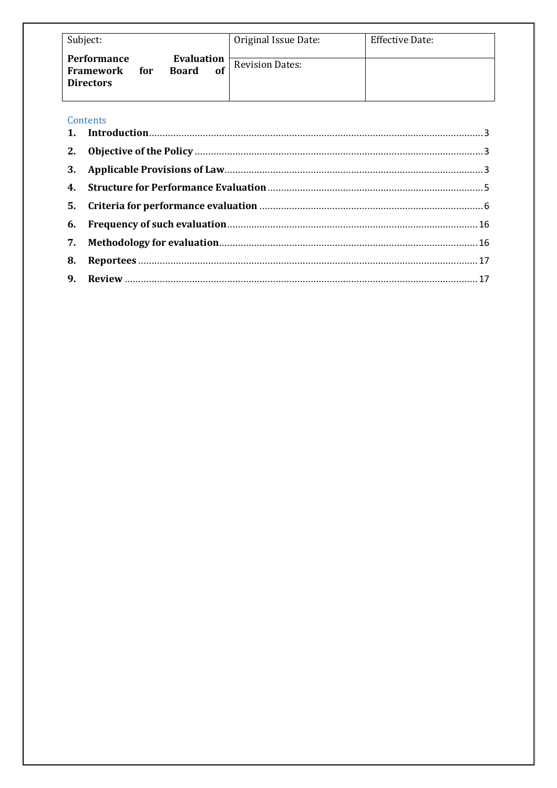| Subject:                                                          |                                  | Original Issue Date:   | <b>Effective Date:</b> |
|-------------------------------------------------------------------|----------------------------------|------------------------|------------------------|
| <b>Performance</b><br><b>Framework</b><br>for<br><b>Directors</b> | Evaluation<br><b>Board</b><br>of | <b>Revision Dates:</b> |                        |

| Contents |  |
|----------|--|
|          |  |
|          |  |
|          |  |
|          |  |
|          |  |
|          |  |
|          |  |
|          |  |
|          |  |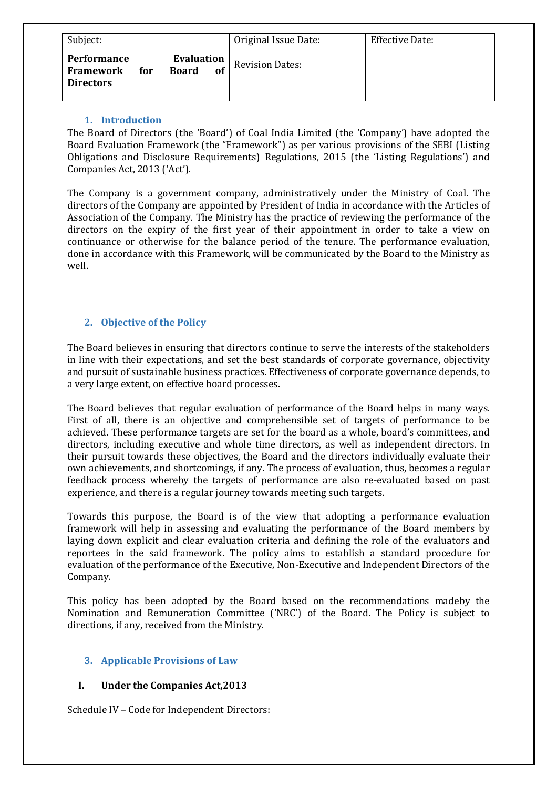| Subject:                                                   |                                         | Original Issue Date:   | <b>Effective Date:</b> |
|------------------------------------------------------------|-----------------------------------------|------------------------|------------------------|
| <b>Performance</b><br>Framework<br>for<br><b>Directors</b> | <b>Evaluation</b><br><b>Board</b><br>of | <b>Revision Dates:</b> |                        |

#### **1. Introduction**

The Board of Directors (the 'Board') of Coal India Limited (the 'Company') have adopted the Board Evaluation Framework (the "Framework") as per various provisions of the SEBI (Listing Obligations and Disclosure Requirements) Regulations, 2015 (the 'Listing Regulations') and Companies Act, 2013 ('Act').

The Company is a government company, administratively under the Ministry of Coal. The directors of the Company are appointed by President of India in accordance with the Articles of Association of the Company. The Ministry has the practice of reviewing the performance of the directors on the expiry of the first year of their appointment in order to take a view on continuance or otherwise for the balance period of the tenure. The performance evaluation, done in accordance with this Framework, will be communicated by the Board to the Ministry as well.

# **2. Objective of the Policy**

The Board believes in ensuring that directors continue to serve the interests of the stakeholders in line with their expectations, and set the best standards of corporate governance, objectivity and pursuit of sustainable business practices. Effectiveness of corporate governance depends, to a very large extent, on effective board processes.

The Board believes that regular evaluation of performance of the Board helps in many ways. First of all, there is an objective and comprehensible set of targets of performance to be achieved. These performance targets are set for the board as a whole, board's committees, and directors, including executive and whole time directors, as well as independent directors. In their pursuit towards these objectives, the Board and the directors individually evaluate their own achievements, and shortcomings, if any. The process of evaluation, thus, becomes a regular feedback process whereby the targets of performance are also re-evaluated based on past experience, and there is a regular journey towards meeting such targets.

Towards this purpose, the Board is of the view that adopting a performance evaluation framework will help in assessing and evaluating the performance of the Board members by laying down explicit and clear evaluation criteria and defining the role of the evaluators and reportees in the said framework. The policy aims to establish a standard procedure for evaluation of the performance of the Executive, Non-Executive and Independent Directors of the Company.

This policy has been adopted by the Board based on the recommendations madeby the Nomination and Remuneration Committee ('NRC') of the Board. The Policy is subject to directions, if any, received from the Ministry.

# **3. Applicable Provisions of Law**

# **I.** Under the Companies Act, 2013

Schedule IV - Code for Independent Directors: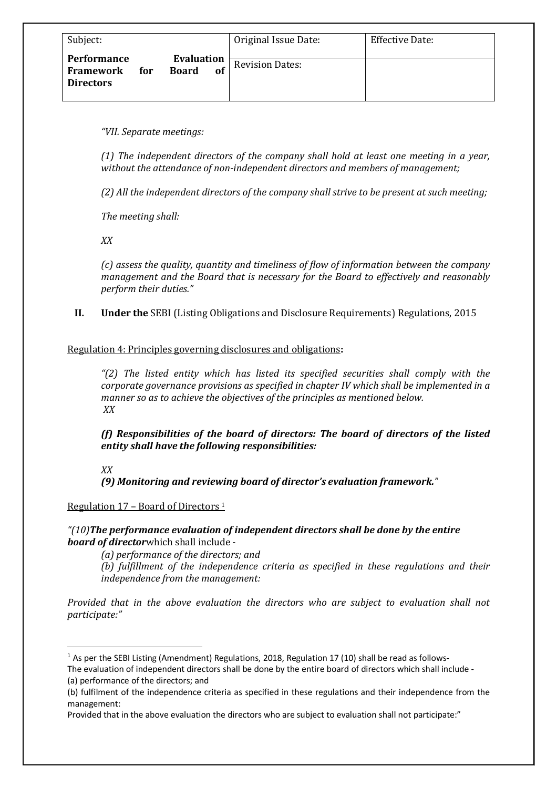| Subject:                                                                   |                         | Original Issue Date:   | <b>Effective Date:</b> |
|----------------------------------------------------------------------------|-------------------------|------------------------|------------------------|
| <b>Performance</b><br><b>Board</b><br>Framework<br>for<br><b>Directors</b> | <b>Evaluation</b><br>of | <b>Revision Dates:</b> |                        |

*"VII. Separate meetings:*

*(1)* The independent directors of the company shall hold at least one meeting in a year, without the attendance of non-independent directors and members of management;

(2) All the independent directors of the company shall strive to be present at such meeting;

The meeting shall:

*XX*

(c) assess the quality, quantity and timeliness of flow of information between the company *management and the Board that is necessary for the Board to effectively and reasonably perform their duties."*

**II. Under the** SEBI (Listing Obligations and Disclosure Requirements) Regulations, 2015

#### Regulation 4: Principles governing disclosures and obligations:

*"(2) The listed entity which has listed its specified securities shall comply with the corporate governance provisions as specified in chapter IV which shall be implemented in a manner so as to achieve the objectives of the principles as mentioned below. XX*

*(f)* Responsibilities of the board of directors: The board of directors of the listed *entity shall have the following responsibilities:* 

*(9) Monitoring and reviewing board of director's evaluation framework."*

#### Regulation  $17$  – Board of Directors  $1$

*"*(10) The performance evaluation of independent directors shall be done by the entire **board of director**which shall include -

*(a)* performance of the directors; and

(b) fulfillment of the independence criteria as specified in these regulations and their *independence from the management:* 

*Provided* that in the above evaluation the directors who are subject to evaluation shall not *participate:"*

*XX*

 $1$  As per the SEBI Listing (Amendment) Regulations, 2018, Regulation 17 (10) shall be read as follows-

The evaluation of independent directors shall be done by the entire board of directors which shall include - (a) performance of the directors; and

<sup>(</sup>b) fulfilment of the independence criteria as specified in these regulations and their independence from the management:

Provided that in the above evaluation the directors who are subject to evaluation shall not participate:"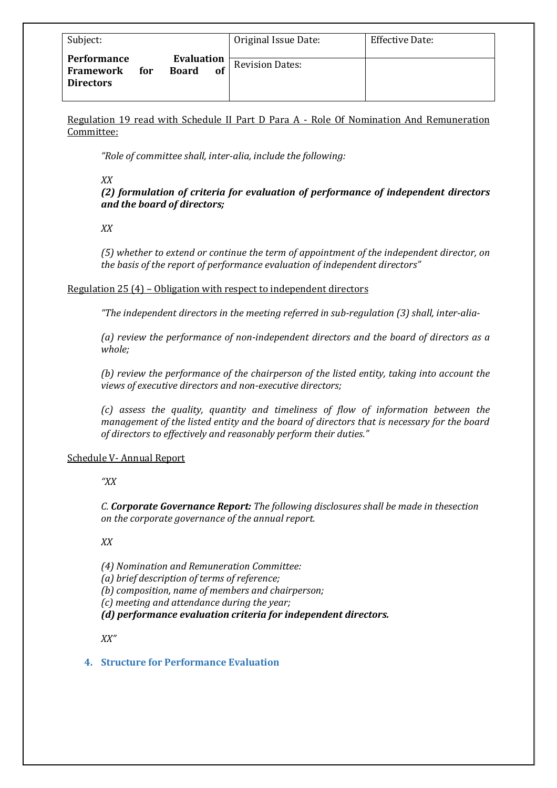| Subject:                                                                                 | Original Issue Date:         | Effective Date: |
|------------------------------------------------------------------------------------------|------------------------------|-----------------|
| Evaluation<br>Performance<br><b>Board</b><br><b>Framework</b><br>for<br><b>Directors</b> | <b>Revision Dates:</b><br>of |                 |

Regulation 19 read with Schedule II Part D Para A - Role Of Nomination And Remuneration Committee:

"Role of committee shall, inter-alia, include the following:

*XX*

(2) formulation of criteria for evaluation of performance of independent directors *and the board of directors;*

*XX*

(5) whether to extend or continue the term of appointment of the independent director, on *the basis of the report of performance evaluation of independent directors*"

#### Regulation  $25(4)$  – Obligation with respect to independent directors

"The independent directors in the meeting referred in sub-regulation (3) shall, inter-alia-

(a) review the performance of non-independent directors and the board of directors as a *whole;*

(b) review the performance of the chairperson of the listed entity, taking into account the views of executive directors and non-executive directors;

*(c) assess the quality, quantity and timeliness of flow of information between the management of the listed entity and the board of directors that is necessary for the board* of directors to effectively and reasonably perform their duties."

#### Schedule V- Annual Report

*"XX*

*C. Corporate Governance Report: The following disclosures shall be made in thesection on the corporate governance of the annual report.* 

*XX*

*(4) Nomination and Remuneration Committee:*

*(a) brief description of terms of reference;*

*(b)* composition, name of members and chairperson;

*(c) meeting and attendance during the year;*

*(d)* performance evaluation criteria for independent directors.

*XX"*

#### **4. Structure for Performance Evaluation**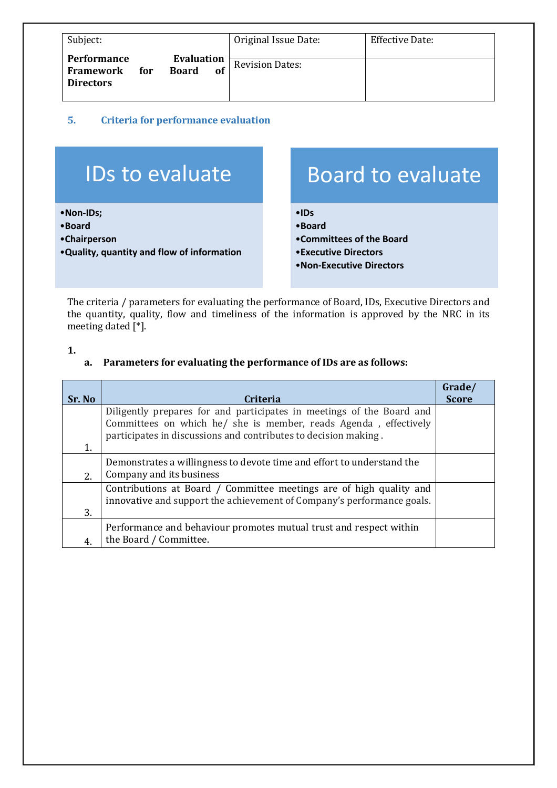| Subject:                                                                                | Original Issue Date:   | Effective Date: |
|-----------------------------------------------------------------------------------------|------------------------|-----------------|
| Evaluation<br>Performance<br><b>Board</b><br>Framework<br>for<br>of<br><b>Directors</b> | <b>Revision Dates:</b> |                 |

## **5. Criteria for performance evaluation**

# IDs to evaluate

•**Non-IDs;**

- •**Board**
- •**Chairperson**
- •**Quality, quantity and flow of information**

# Board to evaluate

- •**IDs**
- •**Board**
- •**Committees of the Board**
- •**Executive Directors**
- •**Non-Executive Directors**

The criteria / parameters for evaluating the performance of Board, IDs, Executive Directors and the quantity, quality, flow and timeliness of the information is approved by the NRC in its meeting dated  $[*]$ .

**1.**

#### a. Parameters for evaluating the performance of IDs are as follows:

| Sr. No | Criteria                                                               | <b>Score</b> |
|--------|------------------------------------------------------------------------|--------------|
|        | Diligently prepares for and participates in meetings of the Board and  |              |
|        | Committees on which he/ she is member, reads Agenda, effectively       |              |
|        | participates in discussions and contributes to decision making.        |              |
| 1.     |                                                                        |              |
|        | Demonstrates a willingness to devote time and effort to understand the |              |
| 2.     | Company and its business                                               |              |
|        | Contributions at Board / Committee meetings are of high quality and    |              |
|        | innovative and support the achievement of Company's performance goals. |              |
| 3.     |                                                                        |              |
|        | Performance and behaviour promotes mutual trust and respect within     |              |
| 4.     | the Board / Committee.                                                 |              |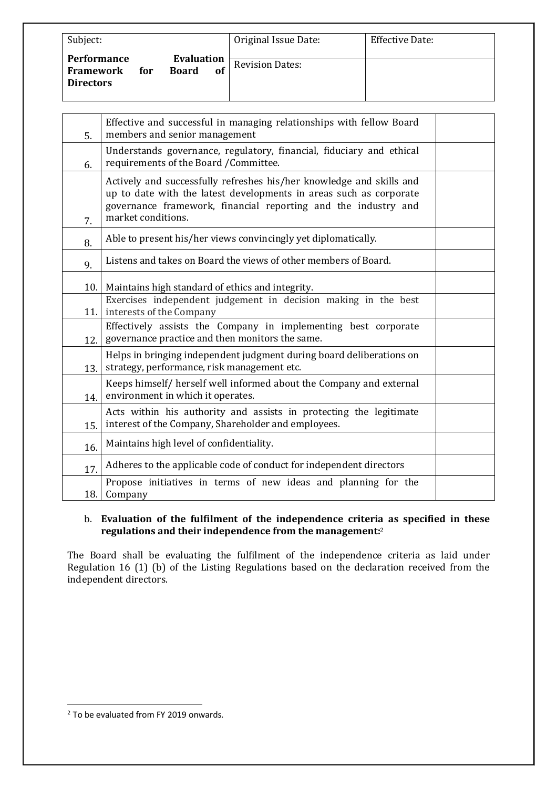| Subject:                                            |                                         | Original Issue Date:   | <b>Effective Date:</b> |
|-----------------------------------------------------|-----------------------------------------|------------------------|------------------------|
| Performance<br>Framework<br>for<br><b>Directors</b> | <b>Evaluation</b><br><b>Board</b><br>of | <b>Revision Dates:</b> |                        |

| 5.   | Effective and successful in managing relationships with fellow Board<br>members and senior management                                                                                                                              |  |
|------|------------------------------------------------------------------------------------------------------------------------------------------------------------------------------------------------------------------------------------|--|
| 6.   | Understands governance, regulatory, financial, fiduciary and ethical<br>requirements of the Board / Committee.                                                                                                                     |  |
| 7.   | Actively and successfully refreshes his/her knowledge and skills and<br>up to date with the latest developments in areas such as corporate<br>governance framework, financial reporting and the industry and<br>market conditions. |  |
| 8.   | Able to present his/her views convincingly yet diplomatically.                                                                                                                                                                     |  |
| 9.   | Listens and takes on Board the views of other members of Board.                                                                                                                                                                    |  |
| 10.  | Maintains high standard of ethics and integrity.                                                                                                                                                                                   |  |
| 11.  | Exercises independent judgement in decision making in the best<br>interests of the Company                                                                                                                                         |  |
| 12.1 | Effectively assists the Company in implementing best corporate<br>governance practice and then monitors the same.                                                                                                                  |  |
| 13.  | Helps in bringing independent judgment during board deliberations on<br>strategy, performance, risk management etc.                                                                                                                |  |
| 14.  | Keeps himself/ herself well informed about the Company and external<br>environment in which it operates.                                                                                                                           |  |
| 15.  | Acts within his authority and assists in protecting the legitimate<br>interest of the Company, Shareholder and employees.                                                                                                          |  |
| 16.  | Maintains high level of confidentiality.                                                                                                                                                                                           |  |
| 17.  | Adheres to the applicable code of conduct for independent directors                                                                                                                                                                |  |
| 18.  | Propose initiatives in terms of new ideas and planning for the<br>Company                                                                                                                                                          |  |

#### b. Evaluation of the fulfilment of the independence criteria as specified in these regulations and their independence from the management:<sup>2</sup>

The Board shall be evaluating the fulfilment of the independence criteria as laid under Regulation 16 (1) (b) of the Listing Regulations based on the declaration received from the independent directors.

<sup>&</sup>lt;sup>2</sup> To be evaluated from FY 2019 onwards.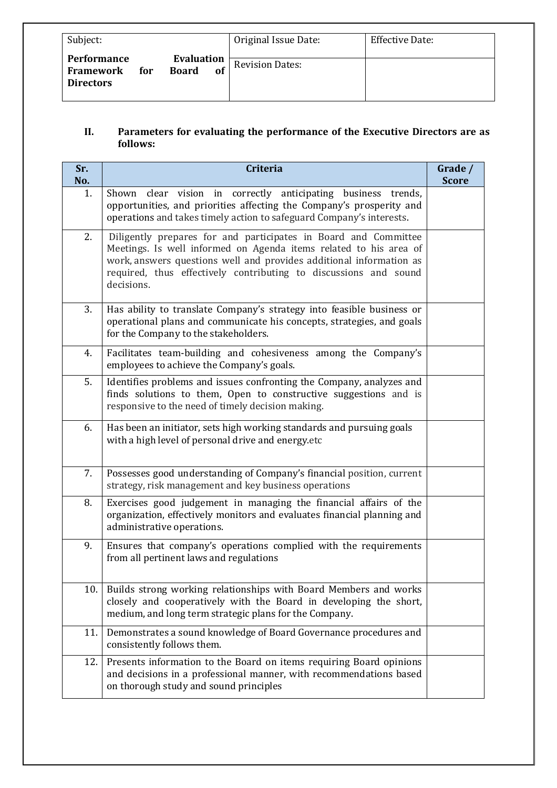| Subject:                                                   |                                         | Original Issue Date:   | <b>Effective Date:</b> |
|------------------------------------------------------------|-----------------------------------------|------------------------|------------------------|
| <b>Performance</b><br>Framework<br>for<br><b>Directors</b> | <b>Evaluation</b><br><b>Board</b><br>of | <b>Revision Dates:</b> |                        |

## **II.** Parameters for evaluating the performance of the Executive Directors are as **follows:**

| Sr.<br>No. | <b>Criteria</b>                                                                                                                                                                                                                                                                               | Grade /<br><b>Score</b> |
|------------|-----------------------------------------------------------------------------------------------------------------------------------------------------------------------------------------------------------------------------------------------------------------------------------------------|-------------------------|
| 1.         | vision in correctly anticipating business trends,<br>Shown<br>clear<br>opportunities, and priorities affecting the Company's prosperity and<br>operations and takes timely action to safeguard Company's interests.                                                                           |                         |
| 2.         | Diligently prepares for and participates in Board and Committee<br>Meetings. Is well informed on Agenda items related to his area of<br>work, answers questions well and provides additional information as<br>required, thus effectively contributing to discussions and sound<br>decisions. |                         |
| 3.         | Has ability to translate Company's strategy into feasible business or<br>operational plans and communicate his concepts, strategies, and goals<br>for the Company to the stakeholders.                                                                                                        |                         |
| 4.         | Facilitates team-building and cohesiveness among the Company's<br>employees to achieve the Company's goals.                                                                                                                                                                                   |                         |
| 5.         | Identifies problems and issues confronting the Company, analyzes and<br>finds solutions to them, Open to constructive suggestions and is<br>responsive to the need of timely decision making.                                                                                                 |                         |
| 6.         | Has been an initiator, sets high working standards and pursuing goals<br>with a high level of personal drive and energy.etc                                                                                                                                                                   |                         |
| 7.         | Possesses good understanding of Company's financial position, current<br>strategy, risk management and key business operations                                                                                                                                                                |                         |
| 8.         | Exercises good judgement in managing the financial affairs of the<br>organization, effectively monitors and evaluates financial planning and<br>administrative operations.                                                                                                                    |                         |
| 9.         | Ensures that company's operations complied with the requirements<br>from all pertinent laws and regulations                                                                                                                                                                                   |                         |
| 10.        | Builds strong working relationships with Board Members and works<br>closely and cooperatively with the Board in developing the short,<br>medium, and long term strategic plans for the Company.                                                                                               |                         |
| 11.        | Demonstrates a sound knowledge of Board Governance procedures and<br>consistently follows them.                                                                                                                                                                                               |                         |
| 12.        | Presents information to the Board on items requiring Board opinions<br>and decisions in a professional manner, with recommendations based<br>on thorough study and sound principles                                                                                                           |                         |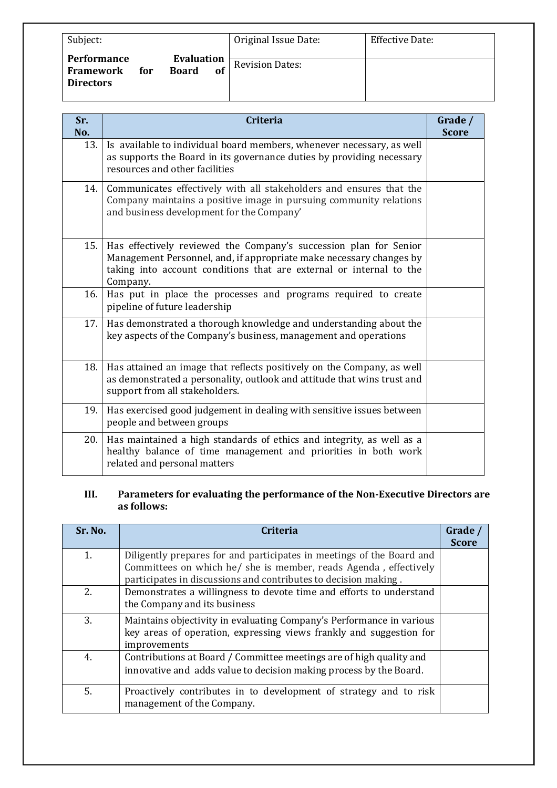| Subject:                                                   |                                         | Original Issue Date:   | <b>Effective Date:</b> |
|------------------------------------------------------------|-----------------------------------------|------------------------|------------------------|
| <b>Performance</b><br>Framework<br>for<br><b>Directors</b> | Evaluation<br><b>Board</b><br><b>of</b> | <b>Revision Dates:</b> |                        |

| Sr.<br>No. | <b>Criteria</b>                                                                                                                                                                                                             | Grade /<br><b>Score</b> |  |  |
|------------|-----------------------------------------------------------------------------------------------------------------------------------------------------------------------------------------------------------------------------|-------------------------|--|--|
| 13.        | Is available to individual board members, whenever necessary, as well<br>as supports the Board in its governance duties by providing necessary<br>resources and other facilities                                            |                         |  |  |
| 14.        | Communicates effectively with all stakeholders and ensures that the<br>Company maintains a positive image in pursuing community relations<br>and business development for the Company'                                      |                         |  |  |
| 15.        | Has effectively reviewed the Company's succession plan for Senior<br>Management Personnel, and, if appropriate make necessary changes by<br>taking into account conditions that are external or internal to the<br>Company. |                         |  |  |
| 16.        | Has put in place the processes and programs required to create<br>pipeline of future leadership                                                                                                                             |                         |  |  |
| 17.        | Has demonstrated a thorough knowledge and understanding about the<br>key aspects of the Company's business, management and operations                                                                                       |                         |  |  |
| 18.        | Has attained an image that reflects positively on the Company, as well<br>as demonstrated a personality, outlook and attitude that wins trust and<br>support from all stakeholders.                                         |                         |  |  |
| 19.        | Has exercised good judgement in dealing with sensitive issues between<br>people and between groups                                                                                                                          |                         |  |  |
| 20.        | Has maintained a high standards of ethics and integrity, as well as a<br>healthy balance of time management and priorities in both work<br>related and personal matters                                                     |                         |  |  |

# **III.** Parameters for evaluating the performance of the Non-Executive Directors are **as follows:**

| Sr. No. | <b>Criteria</b>                                                                                                                                                                                              | Grade /<br><b>Score</b> |  |  |
|---------|--------------------------------------------------------------------------------------------------------------------------------------------------------------------------------------------------------------|-------------------------|--|--|
| 1.      | Diligently prepares for and participates in meetings of the Board and<br>Committees on which he/ she is member, reads Agenda, effectively<br>participates in discussions and contributes to decision making. |                         |  |  |
| 2.      | Demonstrates a willingness to devote time and efforts to understand<br>the Company and its business                                                                                                          |                         |  |  |
| 3.      | Maintains objectivity in evaluating Company's Performance in various<br>key areas of operation, expressing views frankly and suggestion for<br>improvements                                                  |                         |  |  |
| 4.      | Contributions at Board / Committee meetings are of high quality and<br>innovative and adds value to decision making process by the Board.                                                                    |                         |  |  |
| 5.      | Proactively contributes in to development of strategy and to risk<br>management of the Company.                                                                                                              |                         |  |  |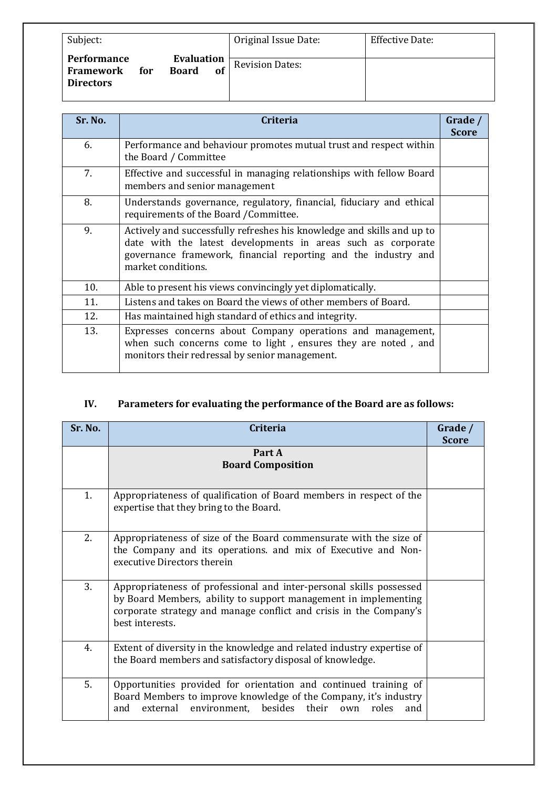| Subject:                                                                                 | Original Issue Date:         | <b>Effective Date:</b> |
|------------------------------------------------------------------------------------------|------------------------------|------------------------|
| <b>Evaluation</b><br>Performance<br><b>Board</b><br>Framework<br>for<br><b>Directors</b> | <b>Revision Dates:</b><br>of |                        |

| Sr. No. | Criteria                                                                                                                                                                                                                       | Grade /      |  |
|---------|--------------------------------------------------------------------------------------------------------------------------------------------------------------------------------------------------------------------------------|--------------|--|
|         |                                                                                                                                                                                                                                | <b>Score</b> |  |
| 6.      | Performance and behaviour promotes mutual trust and respect within<br>the Board / Committee                                                                                                                                    |              |  |
| 7.      | Effective and successful in managing relationships with fellow Board<br>members and senior management                                                                                                                          |              |  |
| 8.      | Understands governance, regulatory, financial, fiduciary and ethical<br>requirements of the Board / Committee.                                                                                                                 |              |  |
| 9.      | Actively and successfully refreshes his knowledge and skills and up to<br>date with the latest developments in areas such as corporate<br>governance framework, financial reporting and the industry and<br>market conditions. |              |  |
| 10.     | Able to present his views convincingly yet diplomatically.                                                                                                                                                                     |              |  |
| 11.     | Listens and takes on Board the views of other members of Board.                                                                                                                                                                |              |  |
| 12.     | Has maintained high standard of ethics and integrity.                                                                                                                                                                          |              |  |
| 13.     | Expresses concerns about Company operations and management,<br>when such concerns come to light, ensures they are noted, and<br>monitors their redressal by senior management.                                                 |              |  |

# **IV.** Parameters for evaluating the performance of the Board are as follows:

| Sr. No.        | <b>Criteria</b>                                                                                                                                                                                                                 | Grade /<br><b>Score</b> |  |  |
|----------------|---------------------------------------------------------------------------------------------------------------------------------------------------------------------------------------------------------------------------------|-------------------------|--|--|
|                | Part A<br><b>Board Composition</b>                                                                                                                                                                                              |                         |  |  |
| 1.             | Appropriateness of qualification of Board members in respect of the<br>expertise that they bring to the Board.                                                                                                                  |                         |  |  |
| 2.             | Appropriateness of size of the Board commensurate with the size of<br>the Company and its operations. and mix of Executive and Non-<br>executive Directors therein                                                              |                         |  |  |
| 3.             | Appropriateness of professional and inter-personal skills possessed<br>by Board Members, ability to support management in implementing<br>corporate strategy and manage conflict and crisis in the Company's<br>best interests. |                         |  |  |
| 4 <sub>1</sub> | Extent of diversity in the knowledge and related industry expertise of<br>the Board members and satisfactory disposal of knowledge.                                                                                             |                         |  |  |
| 5.             | Opportunities provided for orientation and continued training of<br>Board Members to improve knowledge of the Company, it's industry<br>external environment, besides their own roles<br>and<br>and                             |                         |  |  |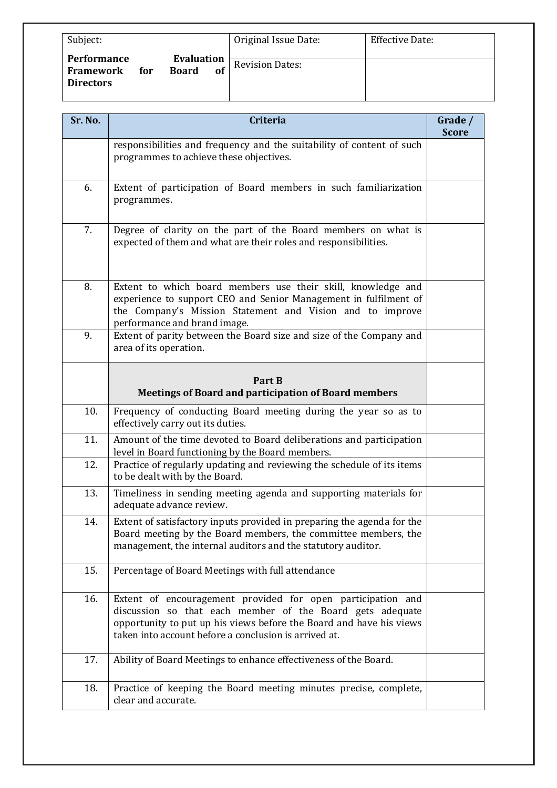| Subject:                                                   |                                  | Original Issue Date:   | <b>Effective Date:</b> |
|------------------------------------------------------------|----------------------------------|------------------------|------------------------|
| Performance<br><b>Framework</b><br>for<br><b>Directors</b> | Evaluation<br><b>Board</b><br>of | <b>Revision Dates:</b> |                        |

| Sr. No. | Criteria                                                                                                                                                                                                                                                 | Grade /<br><b>Score</b> |  |  |
|---------|----------------------------------------------------------------------------------------------------------------------------------------------------------------------------------------------------------------------------------------------------------|-------------------------|--|--|
|         | responsibilities and frequency and the suitability of content of such<br>programmes to achieve these objectives.                                                                                                                                         |                         |  |  |
| 6.      | Extent of participation of Board members in such familiarization<br>programmes.                                                                                                                                                                          |                         |  |  |
| 7.      | Degree of clarity on the part of the Board members on what is<br>expected of them and what are their roles and responsibilities.                                                                                                                         |                         |  |  |
| 8.      | Extent to which board members use their skill, knowledge and<br>experience to support CEO and Senior Management in fulfilment of<br>the Company's Mission Statement and Vision and to improve<br>performance and brand image.                            |                         |  |  |
| 9.      | Extent of parity between the Board size and size of the Company and<br>area of its operation.                                                                                                                                                            |                         |  |  |
|         | Part B<br><b>Meetings of Board and participation of Board members</b>                                                                                                                                                                                    |                         |  |  |
| 10.     | Frequency of conducting Board meeting during the year so as to<br>effectively carry out its duties.                                                                                                                                                      |                         |  |  |
| 11.     | Amount of the time devoted to Board deliberations and participation<br>level in Board functioning by the Board members.                                                                                                                                  |                         |  |  |
| 12.     | Practice of regularly updating and reviewing the schedule of its items<br>to be dealt with by the Board.                                                                                                                                                 |                         |  |  |
| 13.     | Timeliness in sending meeting agenda and supporting materials for<br>adequate advance review.                                                                                                                                                            |                         |  |  |
| 14.     | Extent of satisfactory inputs provided in preparing the agenda for the<br>Board meeting by the Board members, the committee members, the<br>management, the internal auditors and the statutory auditor.                                                 |                         |  |  |
| 15.     | Percentage of Board Meetings with full attendance                                                                                                                                                                                                        |                         |  |  |
| 16.     | Extent of encouragement provided for open participation and<br>discussion so that each member of the Board gets adequate<br>opportunity to put up his views before the Board and have his views<br>taken into account before a conclusion is arrived at. |                         |  |  |
| 17.     | Ability of Board Meetings to enhance effectiveness of the Board.                                                                                                                                                                                         |                         |  |  |
| 18.     | Practice of keeping the Board meeting minutes precise, complete,<br>clear and accurate.                                                                                                                                                                  |                         |  |  |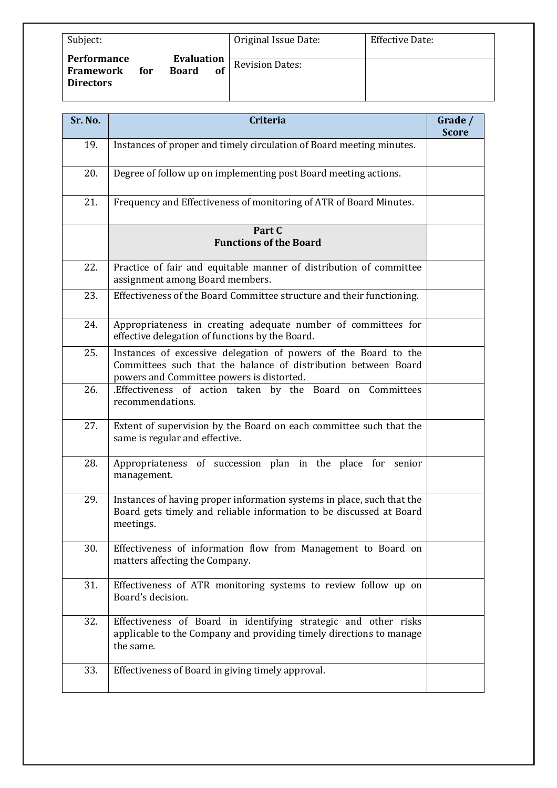| Subject:                                                                          |                         | Original Issue Date:   | <b>Effective Date:</b> |
|-----------------------------------------------------------------------------------|-------------------------|------------------------|------------------------|
| <b>Performance</b><br><b>Board</b><br><b>Framework</b><br>for<br><b>Directors</b> | <b>Evaluation</b><br>of | <b>Revision Dates:</b> |                        |

| Sr. No. | <b>Criteria</b>                                                                                                                                                                | Grade /<br><b>Score</b> |
|---------|--------------------------------------------------------------------------------------------------------------------------------------------------------------------------------|-------------------------|
| 19.     | Instances of proper and timely circulation of Board meeting minutes.                                                                                                           |                         |
| 20.     | Degree of follow up on implementing post Board meeting actions.                                                                                                                |                         |
| 21.     | Frequency and Effectiveness of monitoring of ATR of Board Minutes.                                                                                                             |                         |
|         | Part C<br><b>Functions of the Board</b>                                                                                                                                        |                         |
| 22.     | Practice of fair and equitable manner of distribution of committee<br>assignment among Board members.                                                                          |                         |
| 23.     | Effectiveness of the Board Committee structure and their functioning.                                                                                                          |                         |
| 24.     | Appropriateness in creating adequate number of committees for<br>effective delegation of functions by the Board.                                                               |                         |
| 25.     | Instances of excessive delegation of powers of the Board to the<br>Committees such that the balance of distribution between Board<br>powers and Committee powers is distorted. |                         |
| 26.     | .Effectiveness of action taken by the Board on Committees<br>recommendations.                                                                                                  |                         |
| 27.     | Extent of supervision by the Board on each committee such that the<br>same is regular and effective.                                                                           |                         |
| 28.     | Appropriateness of succession plan in the place for senior<br>management.                                                                                                      |                         |
| 29.     | Instances of having proper information systems in place, such that the<br>Board gets timely and reliable information to be discussed at Board<br>meetings.                     |                         |
| 30.     | Effectiveness of information flow from Management to Board on<br>matters affecting the Company.                                                                                |                         |
| 31.     | Effectiveness of ATR monitoring systems to review follow up on<br>Board's decision.                                                                                            |                         |
| 32.     | Effectiveness of Board in identifying strategic and other risks<br>applicable to the Company and providing timely directions to manage<br>the same.                            |                         |
| 33.     | Effectiveness of Board in giving timely approval.                                                                                                                              |                         |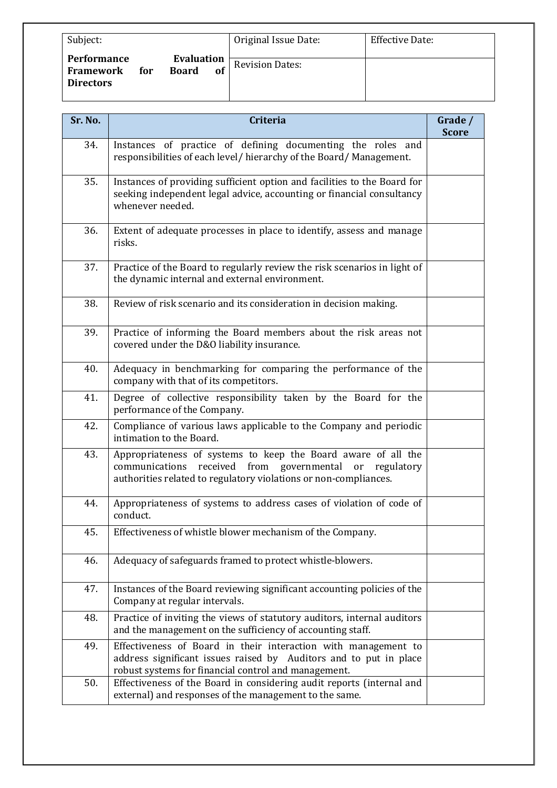| Subject:                                                          |                                  | Original Issue Date:   | Effective Date: |
|-------------------------------------------------------------------|----------------------------------|------------------------|-----------------|
| <b>Performance</b><br><b>Framework</b><br>for<br><b>Directors</b> | Evaluation<br><b>Board</b><br>of | <b>Revision Dates:</b> |                 |

| Sr. No. | <b>Criteria</b>                                                                                                                                                                                 | Grade /<br><b>Score</b> |  |
|---------|-------------------------------------------------------------------------------------------------------------------------------------------------------------------------------------------------|-------------------------|--|
| 34.     | Instances of practice of defining documenting the roles and<br>responsibilities of each level/ hierarchy of the Board/ Management.                                                              |                         |  |
| 35.     | Instances of providing sufficient option and facilities to the Board for<br>seeking independent legal advice, accounting or financial consultancy<br>whenever needed.                           |                         |  |
| 36.     | Extent of adequate processes in place to identify, assess and manage<br>risks.                                                                                                                  |                         |  |
| 37.     | Practice of the Board to regularly review the risk scenarios in light of<br>the dynamic internal and external environment.                                                                      |                         |  |
| 38.     | Review of risk scenario and its consideration in decision making.                                                                                                                               |                         |  |
| 39.     | Practice of informing the Board members about the risk areas not<br>covered under the D&O liability insurance.                                                                                  |                         |  |
| 40.     | Adequacy in benchmarking for comparing the performance of the<br>company with that of its competitors.                                                                                          |                         |  |
| 41.     | Degree of collective responsibility taken by the Board for the<br>performance of the Company.                                                                                                   |                         |  |
| 42.     | Compliance of various laws applicable to the Company and periodic<br>intimation to the Board.                                                                                                   |                         |  |
| 43.     | Appropriateness of systems to keep the Board aware of all the<br>communications received from governmental or<br>regulatory<br>authorities related to regulatory violations or non-compliances. |                         |  |
| 44.     | Appropriateness of systems to address cases of violation of code of<br>conduct.                                                                                                                 |                         |  |
| 45.     | Effectiveness of whistle blower mechanism of the Company.                                                                                                                                       |                         |  |
| 46.     | Adequacy of safeguards framed to protect whistle-blowers.                                                                                                                                       |                         |  |
| 47.     | Instances of the Board reviewing significant accounting policies of the<br>Company at regular intervals.                                                                                        |                         |  |
| 48.     | Practice of inviting the views of statutory auditors, internal auditors<br>and the management on the sufficiency of accounting staff.                                                           |                         |  |
| 49.     | Effectiveness of Board in their interaction with management to<br>address significant issues raised by Auditors and to put in place<br>robust systems for financial control and management.     |                         |  |
| 50.     | Effectiveness of the Board in considering audit reports (internal and<br>external) and responses of the management to the same.                                                                 |                         |  |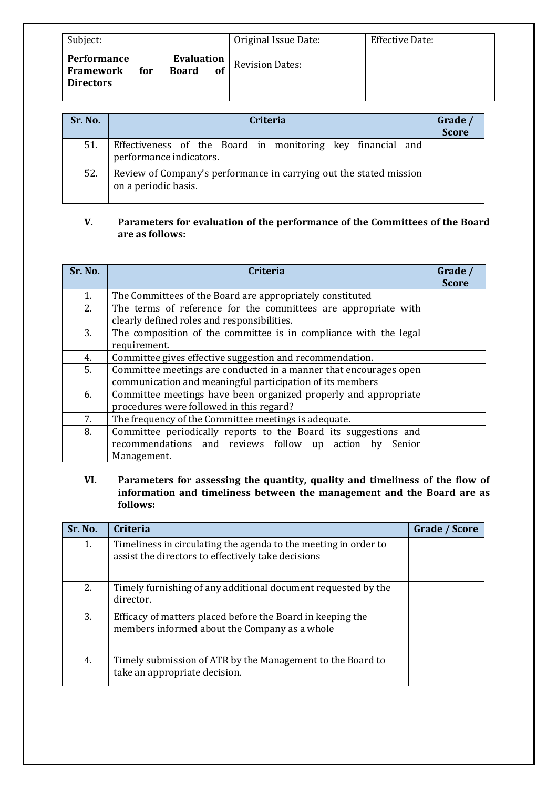| Subject:                                                                                       | Original Issue Date:   | <b>Effective Date:</b> |
|------------------------------------------------------------------------------------------------|------------------------|------------------------|
| <b>Evaluation</b><br>Performance<br><b>Board</b><br>of<br>Framework<br>for<br><b>Directors</b> | <b>Revision Dates:</b> |                        |

| Sr. No. | <b>Criteria</b>                                                                            | Grade /<br>Score |
|---------|--------------------------------------------------------------------------------------------|------------------|
| 51.     | Effectiveness of the Board in monitoring key financial and<br>performance indicators.      |                  |
| 52.     | Review of Company's performance in carrying out the stated mission<br>on a periodic basis. |                  |

# **V.** Parameters for evaluation of the performance of the Committees of the Board are as follows:

| Sr. No. | Criteria                                                          | Grade /<br><b>Score</b> |  |  |
|---------|-------------------------------------------------------------------|-------------------------|--|--|
| 1.      | The Committees of the Board are appropriately constituted         |                         |  |  |
| 2.      | The terms of reference for the committees are appropriate with    |                         |  |  |
|         | clearly defined roles and responsibilities.                       |                         |  |  |
| 3.      | The composition of the committee is in compliance with the legal  |                         |  |  |
|         | requirement.                                                      |                         |  |  |
| 4.      | Committee gives effective suggestion and recommendation.          |                         |  |  |
| 5.      | Committee meetings are conducted in a manner that encourages open |                         |  |  |
|         | communication and meaningful participation of its members         |                         |  |  |
| 6.      | Committee meetings have been organized properly and appropriate   |                         |  |  |
|         | procedures were followed in this regard?                          |                         |  |  |
| 7.      | The frequency of the Committee meetings is adequate.              |                         |  |  |
| 8.      | Committee periodically reports to the Board its suggestions and   |                         |  |  |
|         | recommendations and reviews follow up action by<br>Senior         |                         |  |  |
|         | Management.                                                       |                         |  |  |

VI. Parameters for assessing the quantity, quality and timeliness of the flow of information and timeliness between the management and the Board are as **follows:**

| Sr. No. | Criteria                                                                                                              | Grade / Score |
|---------|-----------------------------------------------------------------------------------------------------------------------|---------------|
| 1.      | Timeliness in circulating the agenda to the meeting in order to<br>assist the directors to effectively take decisions |               |
| 2.      | Timely furnishing of any additional document requested by the<br>director.                                            |               |
| 3.      | Efficacy of matters placed before the Board in keeping the<br>members informed about the Company as a whole           |               |
| 4.      | Timely submission of ATR by the Management to the Board to<br>take an appropriate decision.                           |               |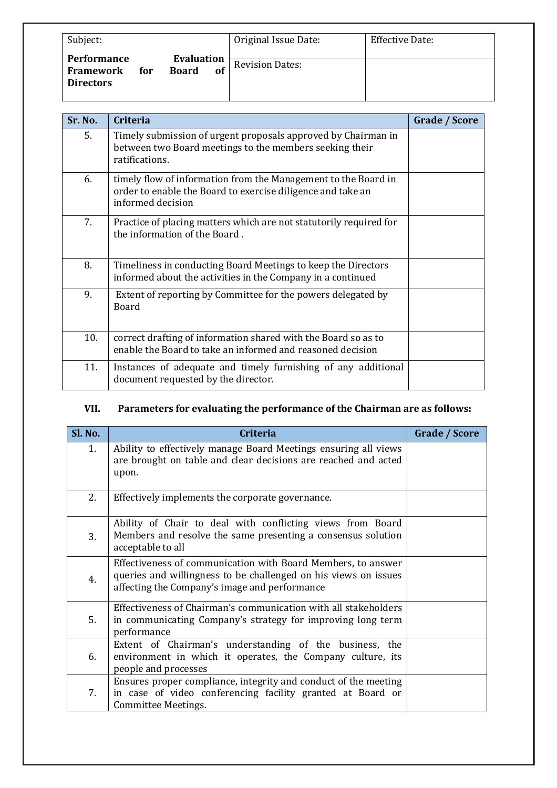| Subject:                                                   |                                         | Original Issue Date:   | Effective Date: |
|------------------------------------------------------------|-----------------------------------------|------------------------|-----------------|
| <b>Performance</b><br>Framework<br>for<br><b>Directors</b> | <b>Evaluation</b><br><b>Board</b><br>of | <b>Revision Dates:</b> |                 |

| Sr. No. | <b>Criteria</b>                                                                                                                                    | Grade / Score |
|---------|----------------------------------------------------------------------------------------------------------------------------------------------------|---------------|
| 5.      | Timely submission of urgent proposals approved by Chairman in<br>between two Board meetings to the members seeking their<br>ratifications.         |               |
| 6.      | timely flow of information from the Management to the Board in<br>order to enable the Board to exercise diligence and take an<br>informed decision |               |
| 7.      | Practice of placing matters which are not statutorily required for<br>the information of the Board.                                                |               |
| 8.      | Timeliness in conducting Board Meetings to keep the Directors<br>informed about the activities in the Company in a continued                       |               |
| 9.      | Extent of reporting by Committee for the powers delegated by<br>Board                                                                              |               |
| 10.     | correct drafting of information shared with the Board so as to<br>enable the Board to take an informed and reasoned decision                       |               |
| 11.     | Instances of adequate and timely furnishing of any additional<br>document requested by the director.                                               |               |

# **VII.** Parameters for evaluating the performance of the Chairman are as follows:

| Sl. No. | <b>Criteria</b>                                                                                                                                                                  | Grade / Score |
|---------|----------------------------------------------------------------------------------------------------------------------------------------------------------------------------------|---------------|
| 1.      | Ability to effectively manage Board Meetings ensuring all views<br>are brought on table and clear decisions are reached and acted<br>upon.                                       |               |
| 2.      | Effectively implements the corporate governance.                                                                                                                                 |               |
| 3.      | Ability of Chair to deal with conflicting views from Board<br>Members and resolve the same presenting a consensus solution<br>acceptable to all                                  |               |
| 4.      | Effectiveness of communication with Board Members, to answer<br>queries and willingness to be challenged on his views on issues<br>affecting the Company's image and performance |               |
| 5.      | Effectiveness of Chairman's communication with all stakeholders<br>in communicating Company's strategy for improving long term<br>performance                                    |               |
| 6.      | Extent of Chairman's understanding of the business, the<br>environment in which it operates, the Company culture, its<br>people and processes                                    |               |
| 7.      | Ensures proper compliance, integrity and conduct of the meeting<br>in case of video conferencing facility granted at Board or<br>Committee Meetings.                             |               |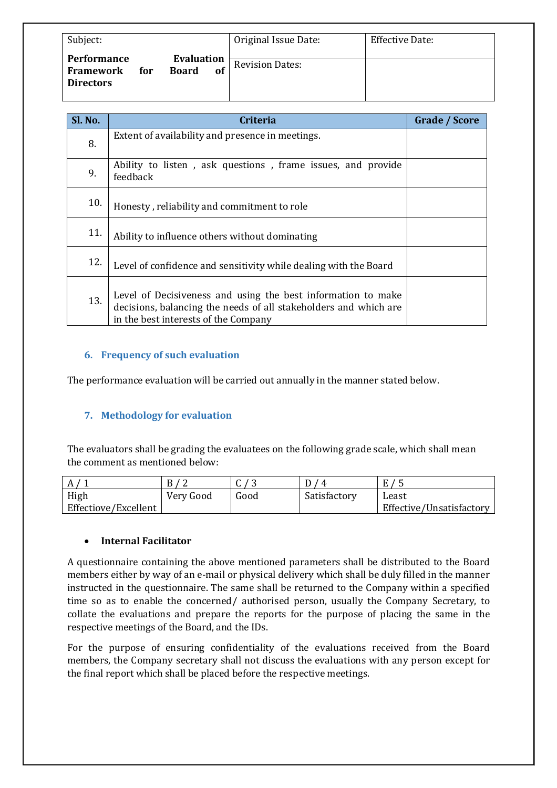| Subject:                                                                          |                                | Original Issue Date:   | Effective Date: |
|-----------------------------------------------------------------------------------|--------------------------------|------------------------|-----------------|
| <b>Performance</b><br><b>Board</b><br><b>Framework</b><br>for<br><b>Directors</b> | <b>Evaluation</b><br><b>of</b> | <b>Revision Dates:</b> |                 |

| Sl. No. | Criteria                                                                                                                                                                 | Grade / Score |
|---------|--------------------------------------------------------------------------------------------------------------------------------------------------------------------------|---------------|
| 8.      | Extent of availability and presence in meetings.                                                                                                                         |               |
| 9.      | Ability to listen, ask questions, frame issues, and provide<br>feedback                                                                                                  |               |
| 10.     | Honesty, reliability and commitment to role                                                                                                                              |               |
| 11.     | Ability to influence others without dominating                                                                                                                           |               |
| 12.     | Level of confidence and sensitivity while dealing with the Board                                                                                                         |               |
| 13.     | Level of Decisiveness and using the best information to make<br>decisions, balancing the needs of all stakeholders and which are<br>in the best interests of the Company |               |

#### **6. Frequency of such evaluation**

The performance evaluation will be carried out annually in the manner stated below.

# **7.** Methodology for evaluation

The evaluators shall be grading the evaluatees on the following grade scale, which shall mean the comment as mentioned below:

| A                    |           | ີ    |              |                          |
|----------------------|-----------|------|--------------|--------------------------|
| High                 | Very Good | Good | Satisfactory | Least                    |
| Effectiove/Excellent |           |      |              | Effective/Unsatisfactory |

#### • **Internal Facilitator**

A questionnaire containing the above mentioned parameters shall be distributed to the Board members either by way of an e-mail or physical delivery which shall be duly filled in the manner instructed in the questionnaire. The same shall be returned to the Company within a specified time so as to enable the concerned/ authorised person, usually the Company Secretary, to collate the evaluations and prepare the reports for the purpose of placing the same in the respective meetings of the Board, and the IDs.

For the purpose of ensuring confidentiality of the evaluations received from the Board members, the Company secretary shall not discuss the evaluations with any person except for the final report which shall be placed before the respective meetings.